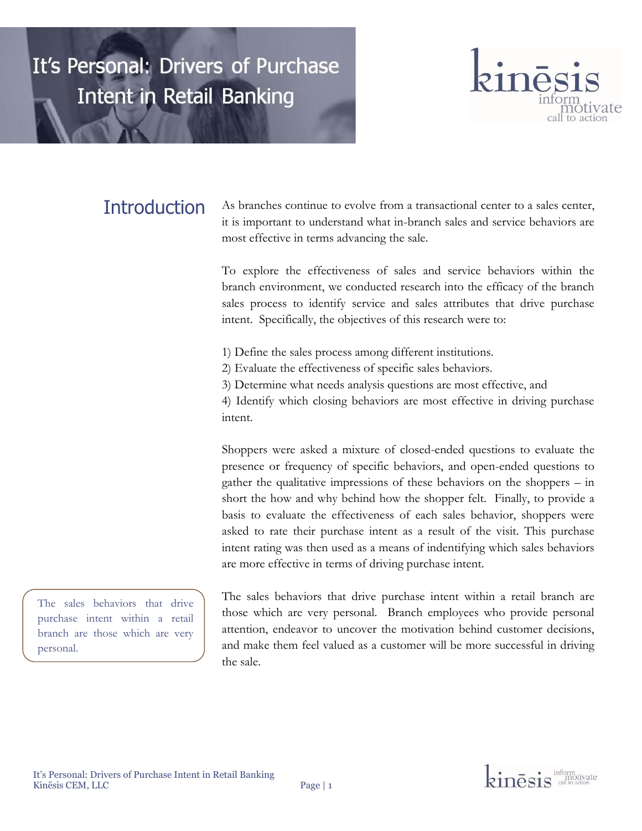

# **Introduction**

As branches continue to evolve from a transactional center to a sales center, it is important to understand what in-branch sales and service behaviors are most effective in terms advancing the sale.

To explore the effectiveness of sales and service behaviors within the branch environment, we conducted research into the efficacy of the branch sales process to identify service and sales attributes that drive purchase intent. Specifically, the objectives of this research were to:

1) Define the sales process among different institutions.

- 2) Evaluate the effectiveness of specific sales behaviors.
- 3) Determine what needs analysis questions are most effective, and

4) Identify which closing behaviors are most effective in driving purchase intent.

Shoppers were asked a mixture of closed-ended questions to evaluate the presence or frequency of specific behaviors, and open-ended questions to gather the qualitative impressions of these behaviors on the shoppers – in short the how and why behind how the shopper felt. Finally, to provide a basis to evaluate the effectiveness of each sales behavior, shoppers were asked to rate their purchase intent as a result of the visit. This purchase intent rating was then used as a means of indentifying which sales behaviors are more effective in terms of driving purchase intent.

The sales behaviors that drive purchase intent within a retail branch are those which are very personal.

The sales behaviors that drive purchase intent within a retail branch are those which are very personal. Branch employees who provide personal attention, endeavor to uncover the motivation behind customer decisions, and make them feel valued as a customer will be more successful in driving the sale.

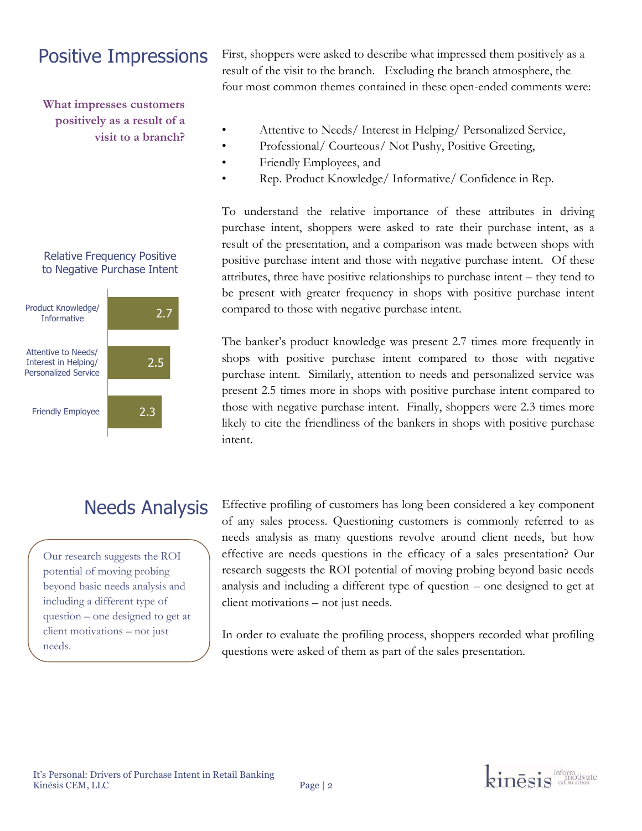# Positive Impressions

**What impresses customers positively as a result of a visit to a branch?** 

#### Relative Frequency Positive to Negative Purchase Intent

| Product Knowledge/<br><b>Informative</b>                                   | 2.7 |
|----------------------------------------------------------------------------|-----|
| Attentive to Needs/<br>Interest in Helping/<br><b>Personalized Service</b> | 2.5 |
| <b>Friendly Employee</b>                                                   | 2.3 |

# Needs Analysis

Our research suggests the ROI potential of moving probing beyond basic needs analysis and including a different type of question – one designed to get at client motivations – not just needs.

First, shoppers were asked to describe what impressed them positively as a result of the visit to the branch. Excluding the branch atmosphere, the four most common themes contained in these open-ended comments were:

- Attentive to Needs/ Interest in Helping/ Personalized Service,
- Professional/ Courteous/ Not Pushy, Positive Greeting,
- Friendly Employees, and
- Rep. Product Knowledge/ Informative/ Confidence in Rep.

To understand the relative importance of these attributes in driving purchase intent, shoppers were asked to rate their purchase intent, as a result of the presentation, and a comparison was made between shops with positive purchase intent and those with negative purchase intent. Of these attributes, three have positive relationships to purchase intent – they tend to be present with greater frequency in shops with positive purchase intent compared to those with negative purchase intent.

The banker's product knowledge was present 2.7 times more frequently in shops with positive purchase intent compared to those with negative purchase intent. Similarly, attention to needs and personalized service was present 2.5 times more in shops with positive purchase intent compared to those with negative purchase intent. Finally, shoppers were 2.3 times more likely to cite the friendliness of the bankers in shops with positive purchase intent.

Effective profiling of customers has long been considered a key component of any sales process. Questioning customers is commonly referred to as needs analysis as many questions revolve around client needs, but how effective are needs questions in the efficacy of a sales presentation? Our research suggests the ROI potential of moving probing beyond basic needs analysis and including a different type of question – one designed to get at client motivations – not just needs.

In order to evaluate the profiling process, shoppers recorded what profiling questions were asked of them as part of the sales presentation.

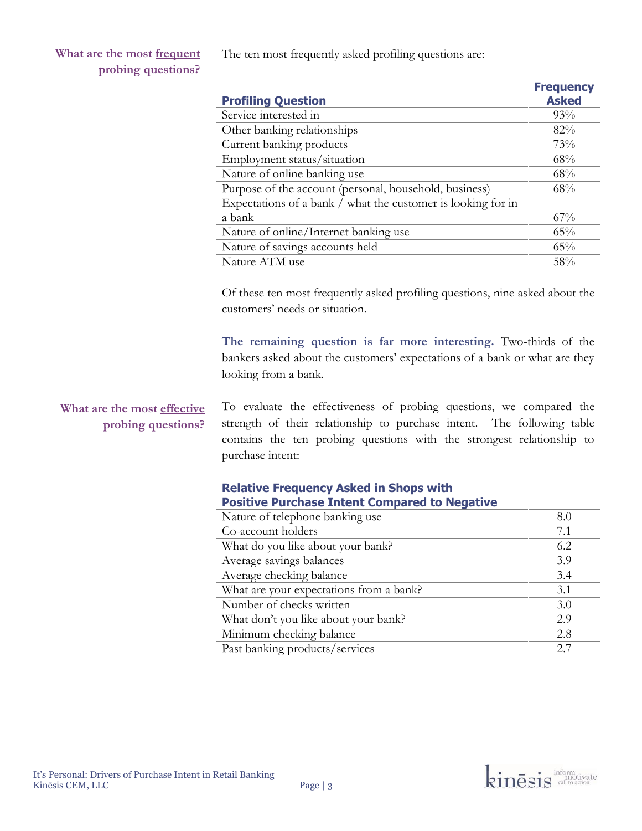**What are the most frequent probing questions?**

The ten most frequently asked profiling questions are:

| <b>Profiling Question</b>                                    | <b>Frequency</b><br><b>Asked</b> |
|--------------------------------------------------------------|----------------------------------|
| Service interested in                                        | 93%                              |
| Other banking relationships                                  | 82%                              |
| Current banking products                                     | 73%                              |
| Employment status/situation                                  | 68%                              |
| Nature of online banking use                                 | 68%                              |
| Purpose of the account (personal, household, business)       | 68%                              |
| Expectations of a bank / what the customer is looking for in |                                  |
| a bank                                                       | $67\%$                           |
| Nature of online/Internet banking use                        | 65%                              |
| Nature of savings accounts held                              | 65%                              |
| Nature ATM use                                               | 58%                              |

Of these ten most frequently asked profiling questions, nine asked about the customers' needs or situation.

**The remaining question is far more interesting.** Two-thirds of the bankers asked about the customers' expectations of a bank or what are they looking from a bank.

## **What are the most effective probing questions?**

To evaluate the effectiveness of probing questions, we compared the strength of their relationship to purchase intent. The following table contains the ten probing questions with the strongest relationship to purchase intent:

### **Relative Frequency Asked in Shops with Positive Purchase Intent Compared to Negative**

| Nature of telephone banking use         | 8.0 |
|-----------------------------------------|-----|
| Co-account holders                      | 7.1 |
| What do you like about your bank?       | 6.2 |
| Average savings balances                | 3.9 |
| Average checking balance                | 3.4 |
| What are your expectations from a bank? | 3.1 |
| Number of checks written                | 3.0 |
| What don't you like about your bank?    | 2.9 |
| Minimum checking balance                | 2.8 |
| Past banking products/services          | 2.7 |

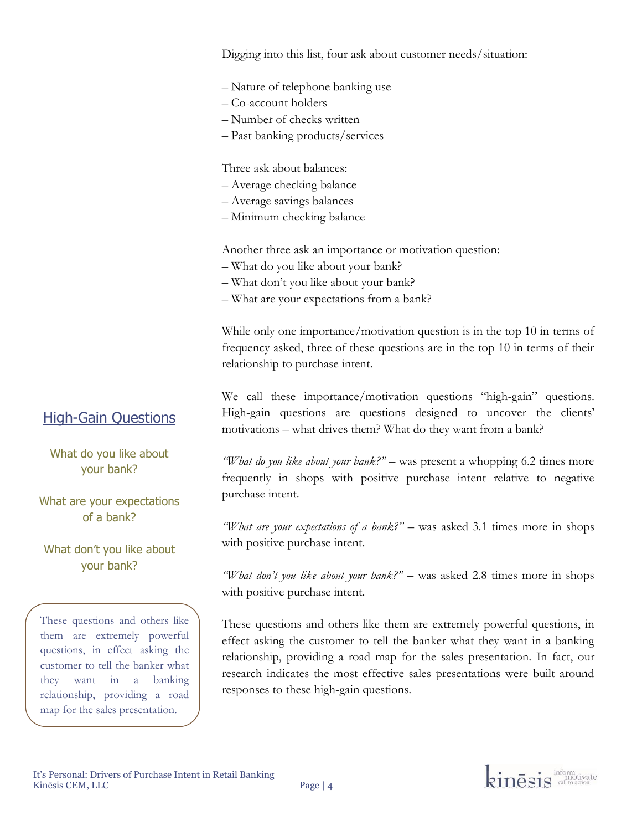Digging into this list, four ask about customer needs/situation:

- Nature of telephone banking use
- Co-account holders
- Number of checks written
- Past banking products/services

Three ask about balances:

- Average checking balance
- Average savings balances
- Minimum checking balance

Another three ask an importance or motivation question:

- What do you like about your bank?
- What don't you like about your bank?
- What are your expectations from a bank?

While only one importance/motivation question is in the top 10 in terms of frequency asked, three of these questions are in the top 10 in terms of their relationship to purchase intent.

We call these importance/motivation questions "high-gain" questions. High-gain questions are questions designed to uncover the clients' motivations – what drives them? What do they want from a bank?

*"What do you like about your bank?"* – was present a whopping 6.2 times more frequently in shops with positive purchase intent relative to negative purchase intent.

*"What are your expectations of a bank?"* – was asked 3.1 times more in shops with positive purchase intent.

*"What don't you like about your bank?"* – was asked 2.8 times more in shops with positive purchase intent.

These questions and others like them are extremely powerful questions, in effect asking the customer to tell the banker what they want in a banking relationship, providing a road map for the sales presentation. In fact, our research indicates the most effective sales presentations were built around responses to these high-gain questions.

## High-Gain Questions

What do you like about your bank?

What are your expectations of a bank?

What don't you like about your bank?

These questions and others like them are extremely powerful questions, in effect asking the customer to tell the banker what they want in a banking relationship, providing a road map for the sales presentation.

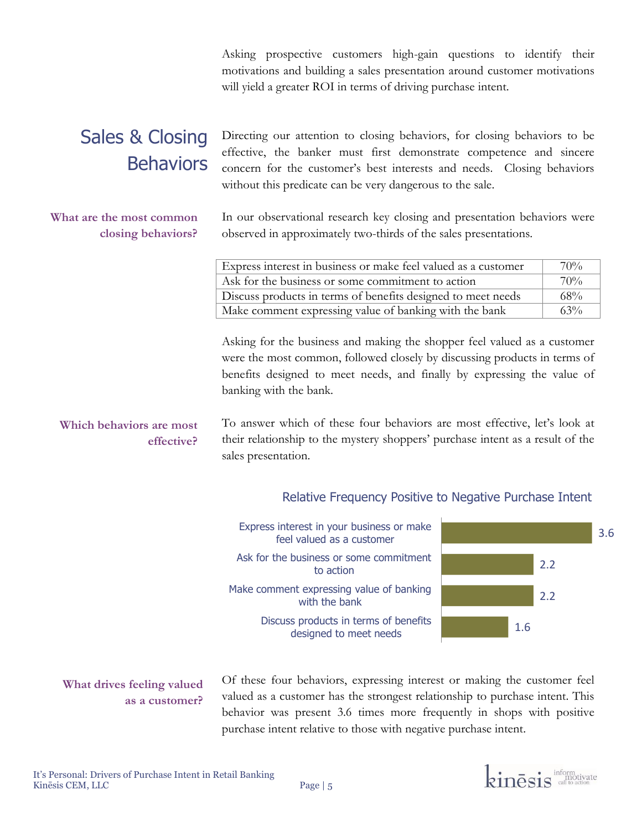Asking prospective customers high-gain questions to identify their motivations and building a sales presentation around customer motivations will yield a greater ROI in terms of driving purchase intent.

# Sales & Closing **Behaviors**

### **What are the most common closing behaviors?**

Directing our attention to closing behaviors, for closing behaviors to be effective, the banker must first demonstrate competence and sincere concern for the customer's best interests and needs. Closing behaviors without this predicate can be very dangerous to the sale.

In our observational research key closing and presentation behaviors were observed in approximately two-thirds of the sales presentations.

| Express interest in business or make feel valued as a customer | 70%    |
|----------------------------------------------------------------|--------|
| Ask for the business or some commitment to action              | $70\%$ |
| Discuss products in terms of benefits designed to meet needs   | $68\%$ |
| Make comment expressing value of banking with the bank         | $63\%$ |

Asking for the business and making the shopper feel valued as a customer were the most common, followed closely by discussing products in terms of benefits designed to meet needs, and finally by expressing the value of banking with the bank.

To answer which of these four behaviors are most effective, let's look at their relationship to the mystery shoppers' purchase intent as a result of the sales presentation. **Which behaviors are most effective?**

## Relative Frequency Positive to Negative Purchase Intent



## **What drives feeling valued as a customer?**

Of these four behaviors, expressing interest or making the customer feel valued as a customer has the strongest relationship to purchase intent. This behavior was present 3.6 times more frequently in shops with positive purchase intent relative to those with negative purchase intent.

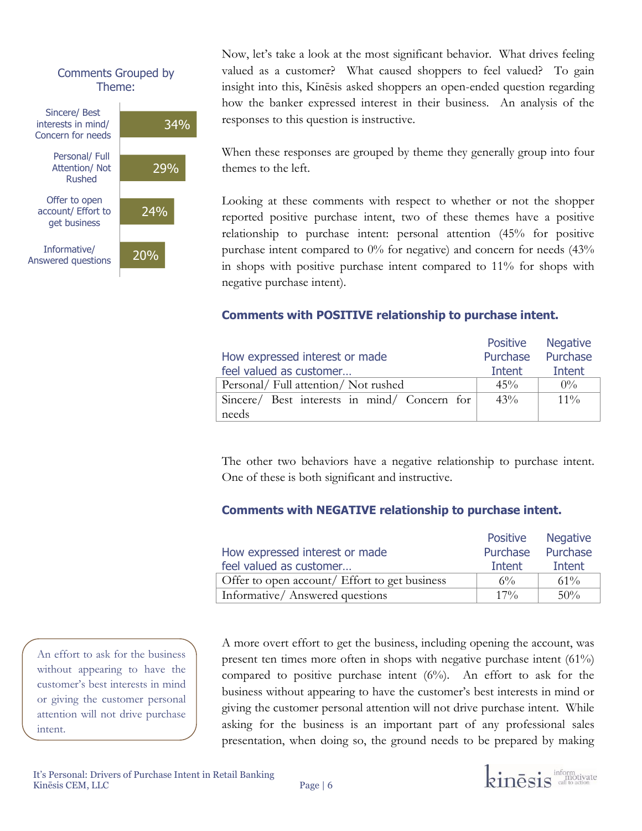### Comments Grouped by Theme:



Now, let's take a look at the most significant behavior. What drives feeling valued as a customer? What caused shoppers to feel valued? To gain insight into this, Kinēsis asked shoppers an open-ended question regarding how the banker expressed interest in their business. An analysis of the responses to this question is instructive.

When these responses are grouped by theme they generally group into four themes to the left.

Looking at these comments with respect to whether or not the shopper reported positive purchase intent, two of these themes have a positive relationship to purchase intent: personal attention (45% for positive purchase intent compared to 0% for negative) and concern for needs (43% in shops with positive purchase intent compared to 11% for shops with negative purchase intent).

### **Comments with POSITIVE relationship to purchase intent.**

|                                              |        | Positive Negative |
|----------------------------------------------|--------|-------------------|
| How expressed interest or made               |        | Purchase Purchase |
| feel valued as customer                      | Intent | Intent            |
| Personal/ Full attention/ Not rushed         | $45\%$ | $0\%$             |
| Sincere/ Best interests in mind/ Concern for | 43%    | $11\%$            |
| needs                                        |        |                   |

The other two behaviors have a negative relationship to purchase intent. One of these is both significant and instructive.

### **Comments with NEGATIVE relationship to purchase intent.**

|                                               | Positive | <b>Negative</b> |
|-----------------------------------------------|----------|-----------------|
| How expressed interest or made                | Purchase | Purchase        |
| feel valued as customer                       | Intent   | Intent          |
| Offer to open account/ Effort to get business | $6\%$    | $61\%$          |
| Informative/Answered questions                | $17\%$   | 50%             |

A more overt effort to get the business, including opening the account, was present ten times more often in shops with negative purchase intent (61%) compared to positive purchase intent  $(6%)$ . An effort to ask for the business without appearing to have the customer's best interests in mind or giving the customer personal attention will not drive purchase intent. While asking for the business is an important part of any professional sales presentation, when doing so, the ground needs to be prepared by making

An effort to ask for the business without appearing to have the customer's best interests in mind or giving the customer personal attention will not drive purchase intent.